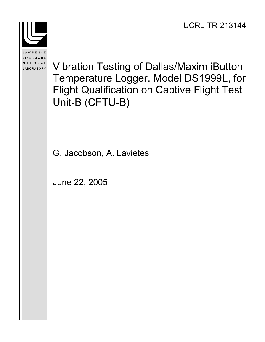

LAWRENCE LIVERMORE NATIONAL LABORATORY

Vibration Testing of Dallas/Maxim iButton Temperature Logger, Model DS1999L, for Flight Qualification on Captive Flight Test Unit-B (CFTU-B)

G. Jacobson, A. Lavietes

June 22, 2005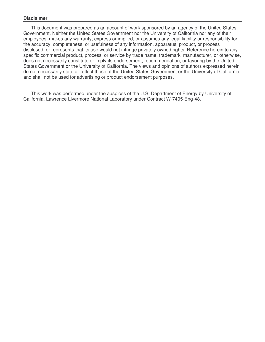#### **Disclaimer**

This document was prepared as an account of work sponsored by an agency of the United States Government. Neither the United States Government nor the University of California nor any of their employees, makes any warranty, express or implied, or assumes any legal liability or responsibility for the accuracy, completeness, or usefulness of any information, apparatus, product, or process disclosed, or represents that its use would not infringe privately owned rights. Reference herein to any specific commercial product, process, or service by trade name, trademark, manufacturer, or otherwise, does not necessarily constitute or imply its endorsement, recommendation, or favoring by the United States Government or the University of California. The views and opinions of authors expressed herein do not necessarily state or reflect those of the United States Government or the University of California, and shall not be used for advertising or product endorsement purposes.

This work was performed under the auspices of the U.S. Department of Energy by University of California, Lawrence Livermore National Laboratory under Contract W-7405-Eng-48.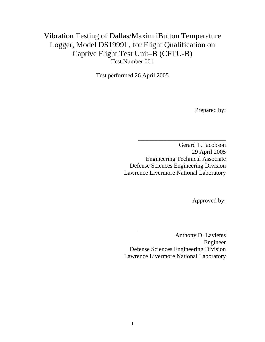# Vibration Testing of Dallas/Maxim iButton Temperature Logger, Model DS1999L, for Flight Qualification on Captive Flight Test Unit–B (CFTU-B) Test Number 001

Test performed 26 April 2005

Prepared by:

Gerard F. Jacobson 29 April 2005 Engineering Technical Associate Defense Sciences Engineering Division Lawrence Livermore National Laboratory

\_\_\_\_\_\_\_\_\_\_\_\_\_\_\_\_\_\_\_\_\_\_\_\_\_\_\_\_\_

Approved by:

Anthony D. Lavietes Engineer Defense Sciences Engineering Division Lawrence Livermore National Laboratory

\_\_\_\_\_\_\_\_\_\_\_\_\_\_\_\_\_\_\_\_\_\_\_\_\_\_\_\_\_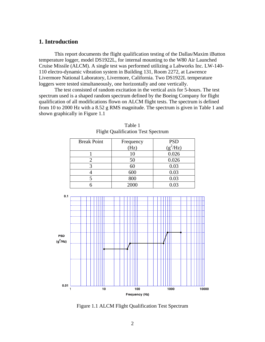## **1. Introduction**

This report documents the flight qualification testing of the Dallas/Maxim iButton temperature logger, model DS1922L, for internal mounting to the W80 Air Launched Cruise Missile (ALCM). A single test was performed utilizing a Labworks Inc. LW-140- 110 electro-dynamic vibration system in Building 131, Room 2272, at Lawrence Livermore National Laboratory, Livermore, California. Two DS1922L temperature loggers were tested simultaneously, one horizontally and one vertically.

The test consisted of random excitation in the vertical axis for 5-hours. The test spectrum used is a shaped random spectrum defined by the Boeing Company for flight qualification of all modifications flown on ALCM flight tests. The spectrum is defined from 10 to 2000 Hz with a 8.52 g RMS magnitude. The spectrum is given in Table 1 and shown graphically in Figure 1.1

|     | <b>Break Point</b>  | Frequency | <b>PSD</b><br>$(g^2/Hz)$ |  |
|-----|---------------------|-----------|--------------------------|--|
|     |                     | (Hz)      |                          |  |
|     |                     | 10        | 0.026                    |  |
|     | $\overline{2}$      | 50        | 0.026                    |  |
|     | 3                   | 60        | 0.03                     |  |
|     | 4                   | 600       | 0.03                     |  |
|     | 5                   | 800       | 0.03                     |  |
|     | 6                   | 2000      | 0.03                     |  |
|     |                     |           |                          |  |
| 0.1 |                     |           |                          |  |
|     |                     |           |                          |  |
|     |                     |           |                          |  |
|     |                     |           |                          |  |
|     |                     |           |                          |  |
|     |                     |           |                          |  |
|     | ------------------- |           | TТ                       |  |

Table 1 Flight Qualification Test Spectrum



Figure 1.1 ALCM Flight Qualification Test Spectrum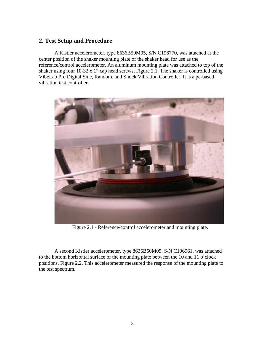## **2. Test Setup and Procedure**

A Kistler accelerometer, type 8636B50M05, S/N C196770, was attached at the center position of the shaker mounting plate of the shaker head for use as the reference/control accelerometer. An aluminum mounting plate was attached to top of the shaker using four 10-32 x 1" cap head screws, Figure 2.1. The shaker is controlled using VibeLab Pro Digital Sine, Random, and Shock Vibration Controller. It is a pc-based vibration test controller.



Figure 2.1 - Reference/control accelerometer and mounting plate.

A second Kistler accelerometer, type 8636B50M05, S/N C196961, was attached to the bottom horizontal surface of the mounting plate between the 10 and 11 o'clock positions, Figure 2.2. This accelerometer measured the response of the mounting plate to the test spectrum.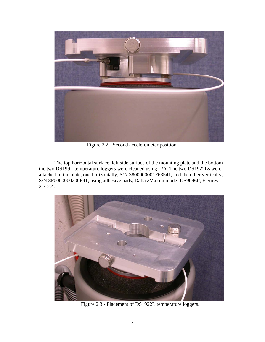

Figure 2.2 - Second accelerometer position.

The top horizontal surface, left side surface of the mounting plate and the bottom the two DS199L temperature loggers were cleaned using IPA. The two DS1922Ls were attached to the plate, one horizontally, S/N 3800000001F63541, and the other vertically, S/N 8F0000000200F41, using adhesive pads, Dallas/Maxim model DS9096P, Figures 2.3-2.4.



Figure 2.3 - Placement of DS1922L temperature loggers.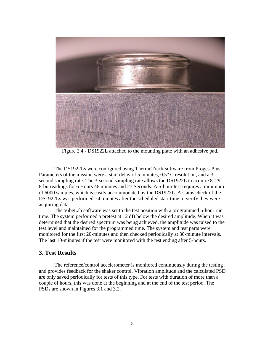

Figure 2.4 - DS1922L attached to the mounting plate with an adhesive pad.

The DS1922Ls were configured using ThermoTrack software from Proges-Plus. Parameters of the mission were a start delay of 5 minutes, 0.5° C resolution, and a 3 second sampling rate. The 3-second sampling rate allows the DS1922L to acquire 8129, 8-bit readings for 6 Hours 46 minutes and 27 Seconds. A 5-hour test requires a minimum of 6000 samples, which is easily accommodated by the DS1922L. A status check of the DS1922Ls was performed ~4 minutes after the scheduled start time to verify they were acquiring data.

The VibeLab software was set to the test position with a programmed 5-hour run time. The system performed a pretest at 12 dB below the desired amplitude. When it was determined that the desired spectrum was being achieved, the amplitude was raised to the test level and maintained for the programmed time. The system and test parts were monitored for the first 20-minutes and then checked periodically at 30-minute intervals. The last 10-minutes if the test were monitored with the test ending after 5-hours.

#### **3. Test Results**

The reference/control accelerometer is monitored continuously during the testing and provides feedback for the shaker control. Vibration amplitude and the calculated PSD are only saved periodically for tests of this type. For tests with duration of more than a couple of hours, this was done at the beginning and at the end of the test period. The PSDs are shown in Figures 3.1 and 3.2.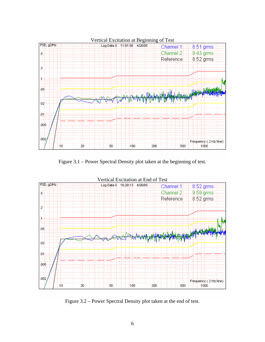

Figure 3.1 – Power Spectral Density plot taken at the beginning of test.



Figure 3.2 – Power Spectral Density plot taken at the end of test.